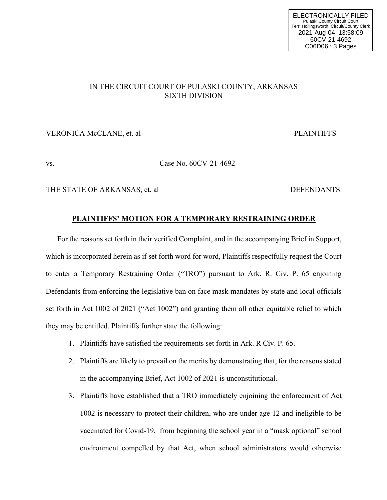## IN THE CIRCUIT COURT OF PULASKI COUNTY, ARKANSAS SIXTH DIVISION

### VERONICA McCLANE, et. al **PLAINTIFFS**

# vs. Case No. 60CV-21-4692

THE STATE OF ARKANSAS, et. al DEFENDANTS

### **PLAINTIFFS' MOTION FOR A TEMPORARY RESTRAINING ORDER**

For the reasons set forth in their verified Complaint, and in the accompanying Brief in Support, which is incorporated herein as if set forth word for word, Plaintiffs respectfully request the Court to enter a Temporary Restraining Order ("TRO") pursuant to Ark. R. Civ. P. 65 enjoining Defendants from enforcing the legislative ban on face mask mandates by state and local officials set forth in Act 1002 of 2021 ("Act 1002") and granting them all other equitable relief to which they may be entitled. Plaintiffs further state the following:

- 1. Plaintiffs have satisfied the requirements set forth in Ark. R Civ. P. 65.
- 2. Plaintiffs are likely to prevail on the merits by demonstrating that, for the reasons stated in the accompanying Brief, Act 1002 of 2021 is unconstitutional.
- 3. Plaintiffs have established that a TRO immediately enjoining the enforcement of Act 1002 is necessary to protect their children, who are under age 12 and ineligible to be vaccinated for Covid-19, from beginning the school year in a "mask optional" school environment compelled by that Act, when school administrators would otherwise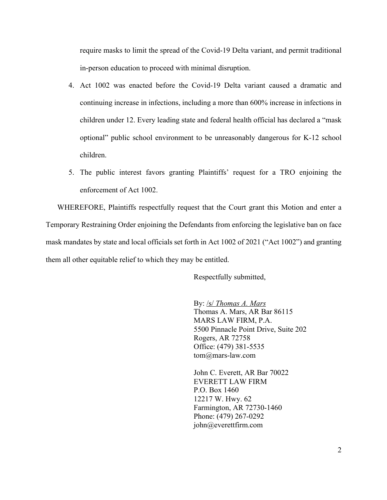require masks to limit the spread of the Covid-19 Delta variant, and permit traditional in-person education to proceed with minimal disruption.

- 4. Act 1002 was enacted before the Covid-19 Delta variant caused a dramatic and continuing increase in infections, including a more than 600% increase in infections in children under 12. Every leading state and federal health official has declared a "mask optional" public school environment to be unreasonably dangerous for K-12 school children.
- 5. The public interest favors granting Plaintiffs' request for a TRO enjoining the enforcement of Act 1002.

WHEREFORE, Plaintiffs respectfully request that the Court grant this Motion and enter a Temporary Restraining Order enjoining the Defendants from enforcing the legislative ban on face mask mandates by state and local officials set forth in Act 1002 of 2021 ("Act 1002") and granting them all other equitable relief to which they may be entitled.

Respectfully submitted,

By: /s/ *Thomas A. Mars* Thomas A. Mars, AR Bar 86115 MARS LAW FIRM, P.A. 5500 Pinnacle Point Drive, Suite 202 Rogers, AR 72758 Office: (479) 381-5535 tom@mars-law.com

John C. Everett, AR Bar 70022 EVERETT LAW FIRM P.O. Box 1460 12217 W. Hwy. 62 Farmington, AR 72730-1460 Phone: (479) 267-0292 john@everettfirm.com